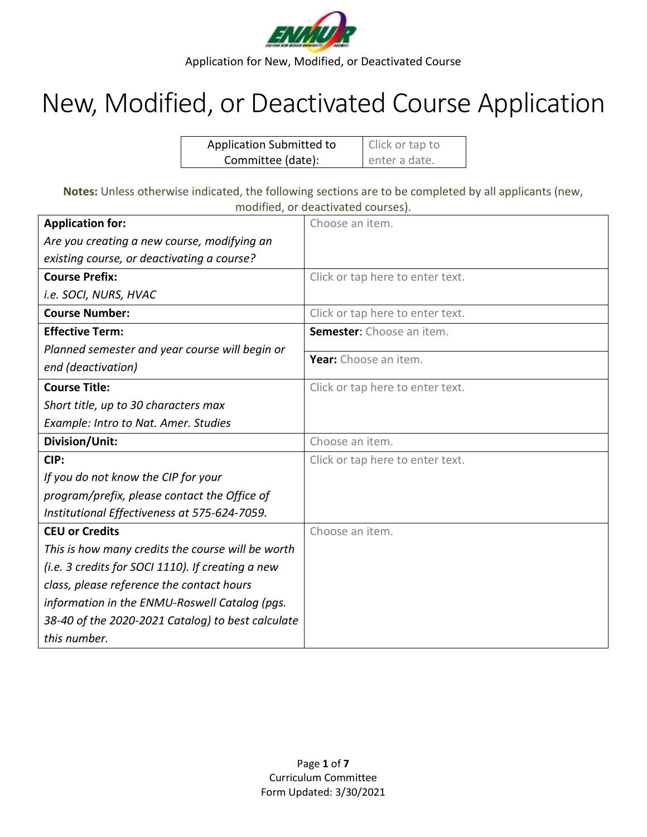

# New, Modified, or Deactivated Course Application

| <b>Application Submitted to</b> | Click or tap to |
|---------------------------------|-----------------|
| Committee (date):               | enter a date.   |

**Notes:** Unless otherwise indicated, the following sections are to be completed by all applicants (new, modified, or deactivated courses).

| <b>Application for:</b>                           | Choose an item.                  |
|---------------------------------------------------|----------------------------------|
| Are you creating a new course, modifying an       |                                  |
| existing course, or deactivating a course?        |                                  |
| <b>Course Prefix:</b>                             | Click or tap here to enter text. |
| i.e. SOCI, NURS, HVAC                             |                                  |
| <b>Course Number:</b>                             | Click or tap here to enter text. |
| <b>Effective Term:</b>                            | Semester: Choose an item.        |
| Planned semester and year course will begin or    |                                  |
| end (deactivation)                                | Year: Choose an item.            |
| <b>Course Title:</b>                              | Click or tap here to enter text. |
| Short title, up to 30 characters max              |                                  |
| Example: Intro to Nat. Amer. Studies              |                                  |
| Division/Unit:                                    | Choose an item.                  |
| CIP:                                              | Click or tap here to enter text. |
| If you do not know the CIP for your               |                                  |
| program/prefix, please contact the Office of      |                                  |
| Institutional Effectiveness at 575-624-7059.      |                                  |
| <b>CEU or Credits</b>                             | Choose an item.                  |
| This is how many credits the course will be worth |                                  |
| (i.e. 3 credits for SOCI 1110). If creating a new |                                  |
| class, please reference the contact hours         |                                  |
| information in the ENMU-Roswell Catalog (pgs.     |                                  |
| 38-40 of the 2020-2021 Catalog) to best calculate |                                  |
| this number.                                      |                                  |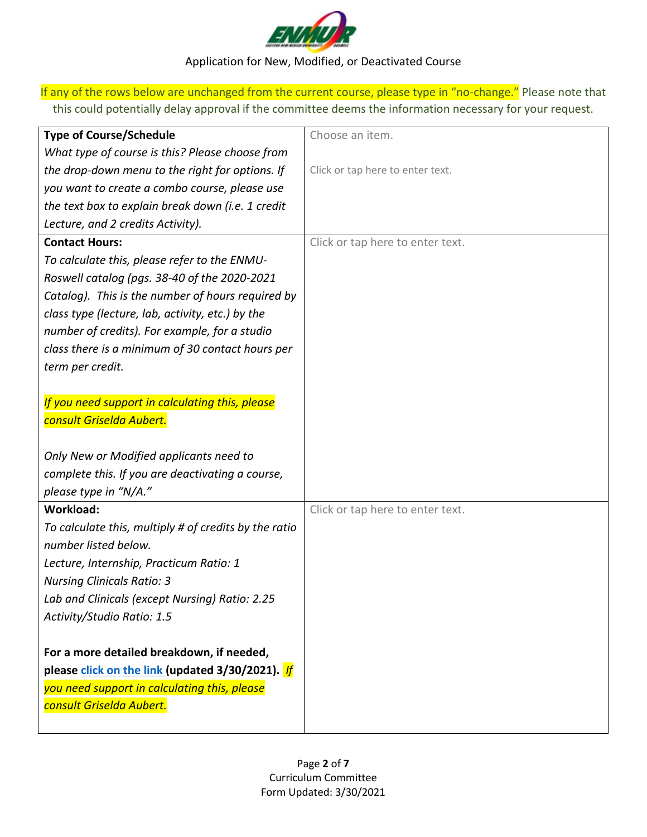

If any of the rows below are unchanged from the current course, please type in "no-change." Please note that this could potentially delay approval if the committee deems the information necessary for your request.

| <b>Type of Course/Schedule</b>                        | Choose an item.                  |
|-------------------------------------------------------|----------------------------------|
| What type of course is this? Please choose from       |                                  |
| the drop-down menu to the right for options. If       | Click or tap here to enter text. |
| you want to create a combo course, please use         |                                  |
| the text box to explain break down (i.e. 1 credit     |                                  |
| Lecture, and 2 credits Activity).                     |                                  |
| <b>Contact Hours:</b>                                 | Click or tap here to enter text. |
| To calculate this, please refer to the ENMU-          |                                  |
| Roswell catalog (pgs. 38-40 of the 2020-2021          |                                  |
| Catalog). This is the number of hours required by     |                                  |
| class type (lecture, lab, activity, etc.) by the      |                                  |
| number of credits). For example, for a studio         |                                  |
| class there is a minimum of 30 contact hours per      |                                  |
| term per credit.                                      |                                  |
|                                                       |                                  |
| If you need support in calculating this, please       |                                  |
| consult Griselda Aubert.                              |                                  |
|                                                       |                                  |
| Only New or Modified applicants need to               |                                  |
| complete this. If you are deactivating a course,      |                                  |
| please type in "N/A."                                 |                                  |
| Workload:                                             | Click or tap here to enter text. |
| To calculate this, multiply # of credits by the ratio |                                  |
| number listed below.                                  |                                  |
| Lecture, Internship, Practicum Ratio: 1               |                                  |
| <b>Nursing Clinicals Ratio: 3</b>                     |                                  |
| Lab and Clinicals (except Nursing) Ratio: 2.25        |                                  |
| Activity/Studio Ratio: 1.5                            |                                  |
|                                                       |                                  |
| For a more detailed breakdown, if needed,             |                                  |
| please click on the link (updated 3/30/2021). If      |                                  |
| you need support in calculating this, please          |                                  |
| consult Griselda Aubert.                              |                                  |
|                                                       |                                  |
|                                                       |                                  |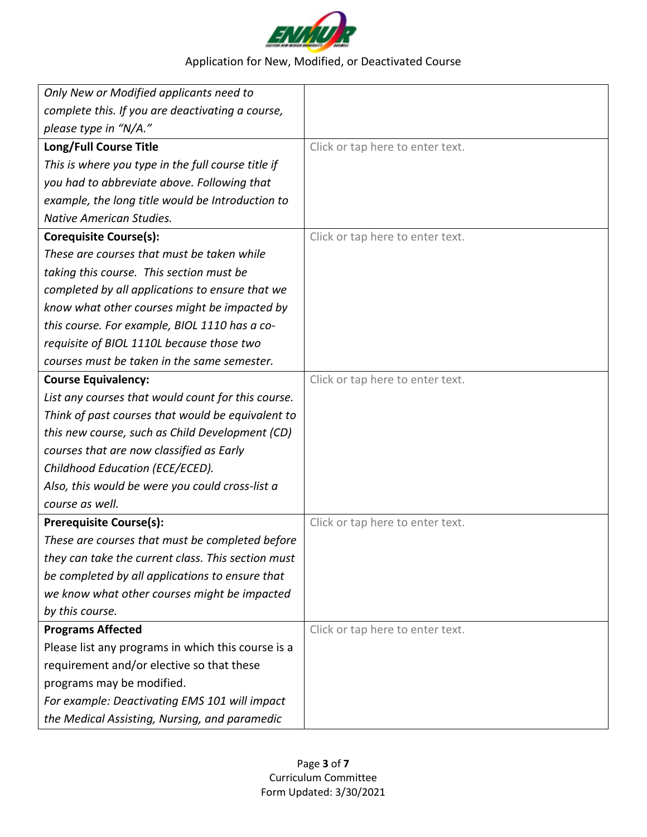

| Only New or Modified applicants need to            |                                  |
|----------------------------------------------------|----------------------------------|
| complete this. If you are deactivating a course,   |                                  |
| please type in "N/A."                              |                                  |
| Long/Full Course Title                             | Click or tap here to enter text. |
| This is where you type in the full course title if |                                  |
| you had to abbreviate above. Following that        |                                  |
| example, the long title would be Introduction to   |                                  |
| <b>Native American Studies.</b>                    |                                  |
| <b>Corequisite Course(s):</b>                      | Click or tap here to enter text. |
| These are courses that must be taken while         |                                  |
| taking this course. This section must be           |                                  |
| completed by all applications to ensure that we    |                                  |
| know what other courses might be impacted by       |                                  |
| this course. For example, BIOL 1110 has a co-      |                                  |
| requisite of BIOL 1110L because those two          |                                  |
| courses must be taken in the same semester.        |                                  |
| <b>Course Equivalency:</b>                         | Click or tap here to enter text. |
| List any courses that would count for this course. |                                  |
| Think of past courses that would be equivalent to  |                                  |
| this new course, such as Child Development (CD)    |                                  |
| courses that are now classified as Early           |                                  |
| Childhood Education (ECE/ECED).                    |                                  |
| Also, this would be were you could cross-list a    |                                  |
| course as well.                                    |                                  |
| <b>Prerequisite Course(s):</b>                     | Click or tap here to enter text. |
| These are courses that must be completed before    |                                  |
| they can take the current class. This section must |                                  |
| be completed by all applications to ensure that    |                                  |
| we know what other courses might be impacted       |                                  |
| by this course.                                    |                                  |
| <b>Programs Affected</b>                           | Click or tap here to enter text. |
| Please list any programs in which this course is a |                                  |
| requirement and/or elective so that these          |                                  |
| programs may be modified.                          |                                  |
| For example: Deactivating EMS 101 will impact      |                                  |
| the Medical Assisting, Nursing, and paramedic      |                                  |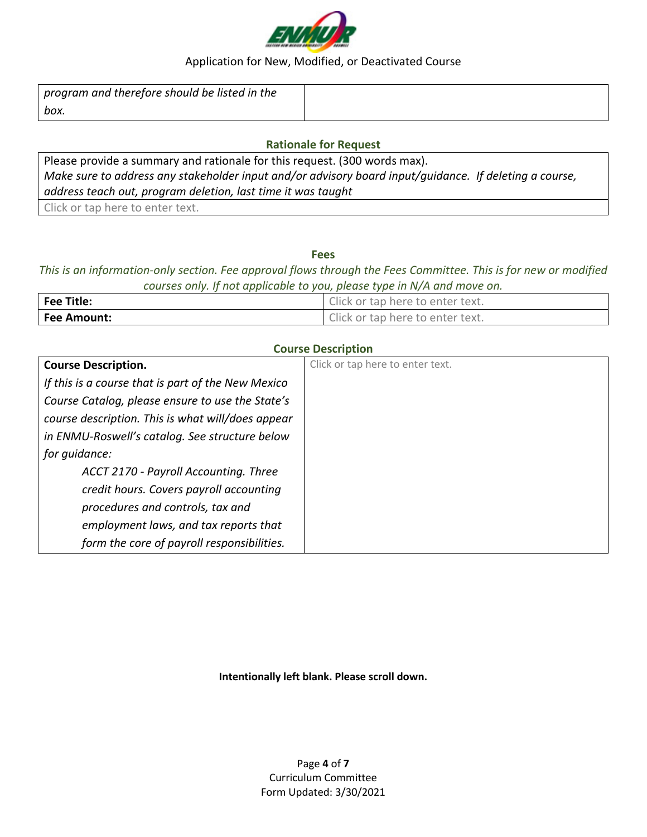

| $\mathsf I$ program and therefore should be listed in the |  |
|-----------------------------------------------------------|--|
| box.                                                      |  |

#### **Rationale for Request**

Please provide a summary and rationale for this request. (300 words max). *Make sure to address any stakeholder input and/or advisory board input/guidance. If deleting a course, address teach out, program deletion, last time it was taught* Click or tap here to enter text.

**Fees**

*This is an information-only section. Fee approval flows through the Fees Committee. This is for new or modified courses only. If not applicable to you, please type in N/A and move on.* 

| <b>Fee Title:</b>  | Click or tap here to enter text. |
|--------------------|----------------------------------|
| <b>Fee Amount:</b> | Click or tap here to enter text. |

#### **Course Description**

| <b>Course Description.</b>                         | Click or tap here to enter text. |
|----------------------------------------------------|----------------------------------|
| If this is a course that is part of the New Mexico |                                  |
| Course Catalog, please ensure to use the State's   |                                  |
| course description. This is what will/does appear  |                                  |
| in ENMU-Roswell's catalog. See structure below     |                                  |
| for guidance:                                      |                                  |
| ACCT 2170 - Payroll Accounting. Three              |                                  |
| credit hours. Covers payroll accounting            |                                  |
| procedures and controls, tax and                   |                                  |
| employment laws, and tax reports that              |                                  |
| form the core of payroll responsibilities.         |                                  |

**Intentionally left blank. Please scroll down.**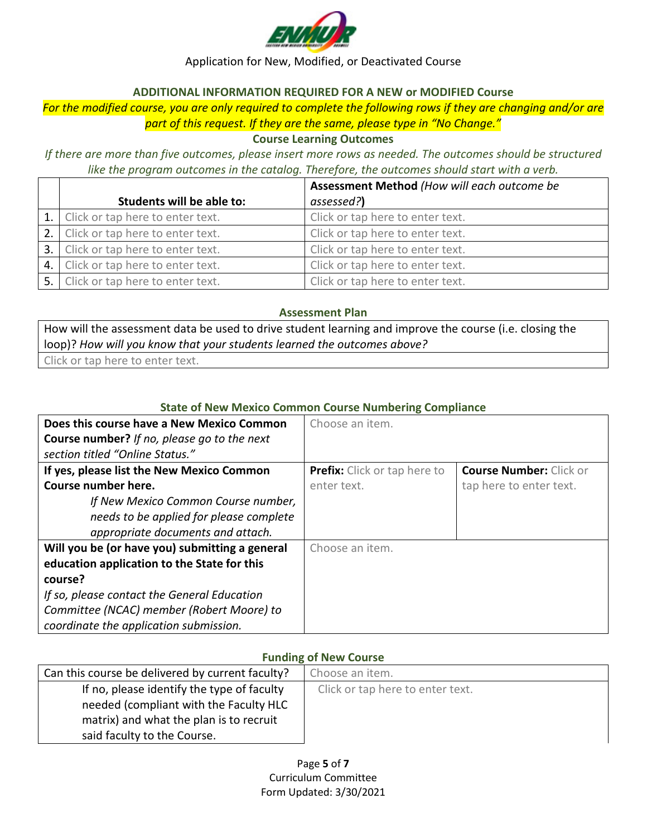

#### **ADDITIONAL INFORMATION REQUIRED FOR A NEW or MODIFIED Course**

# *For the modified course, you are only required to complete the following rows if they are changing and/or are part of this request. If they are the same, please type in "No Change."*

**Course Learning Outcomes**

*If there are more than five outcomes, please insert more rows as needed. The outcomes should be structured like the program outcomes in the catalog. Therefore, the outcomes should start with a verb.*

|                                     | Assessment Method (How will each outcome be |
|-------------------------------------|---------------------------------------------|
| Students will be able to:           | assessed?)                                  |
| 1. Click or tap here to enter text. | Click or tap here to enter text.            |
| 2. Click or tap here to enter text. | Click or tap here to enter text.            |
| 3. Click or tap here to enter text. | Click or tap here to enter text.            |
| 4. Click or tap here to enter text. | Click or tap here to enter text.            |
| 5. Click or tap here to enter text. | Click or tap here to enter text.            |

#### **Assessment Plan**

How will the assessment data be used to drive student learning and improve the course (i.e. closing the loop)? *How will you know that your students learned the outcomes above?*

Click or tap here to enter text.

## **State of New Mexico Common Course Numbering Compliance**

| Does this course have a New Mexico Common          | Choose an item.                     |                                |
|----------------------------------------------------|-------------------------------------|--------------------------------|
| <b>Course number?</b> If no, please go to the next |                                     |                                |
| section titled "Online Status."                    |                                     |                                |
| If yes, please list the New Mexico Common          | <b>Prefix:</b> Click or tap here to | <b>Course Number: Click or</b> |
| Course number here.                                | enter text.                         | tap here to enter text.        |
| If New Mexico Common Course number,                |                                     |                                |
| needs to be applied for please complete            |                                     |                                |
| appropriate documents and attach.                  |                                     |                                |
| Will you be (or have you) submitting a general     | Choose an item.                     |                                |
| education application to the State for this        |                                     |                                |
| course?                                            |                                     |                                |
| If so, please contact the General Education        |                                     |                                |
| Committee (NCAC) member (Robert Moore) to          |                                     |                                |
| coordinate the application submission.             |                                     |                                |

# **Funding of New Course**

| Can this course be delivered by current faculty? | Choose an item.                  |  |
|--------------------------------------------------|----------------------------------|--|
| If no, please identify the type of faculty       | Click or tap here to enter text. |  |
| needed (compliant with the Faculty HLC           |                                  |  |
| matrix) and what the plan is to recruit          |                                  |  |
| said faculty to the Course.                      |                                  |  |

Page **5** of **7** Curriculum Committee Form Updated: 3/30/2021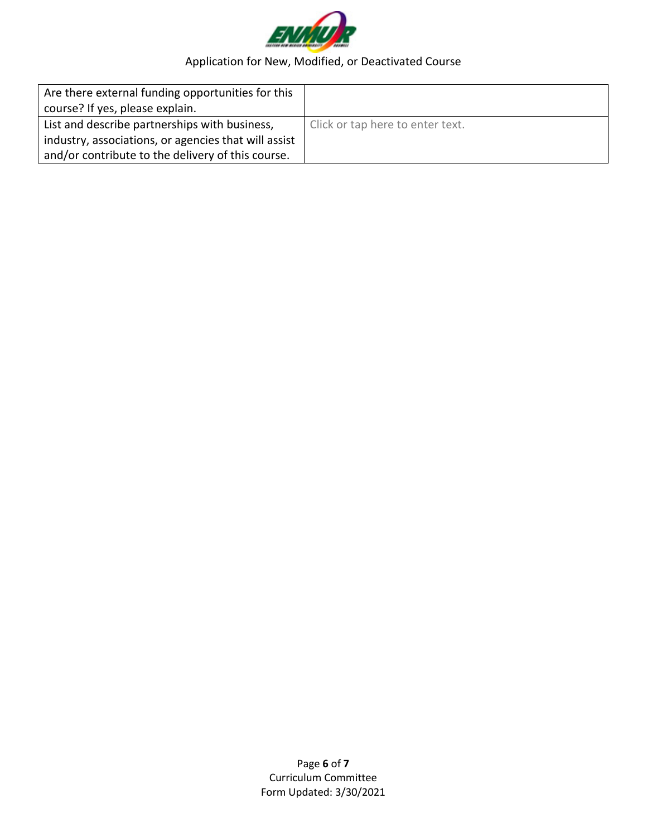

| Are there external funding opportunities for this    |                                  |
|------------------------------------------------------|----------------------------------|
| course? If yes, please explain.                      |                                  |
| List and describe partnerships with business,        | Click or tap here to enter text. |
| industry, associations, or agencies that will assist |                                  |
| and/or contribute to the delivery of this course.    |                                  |